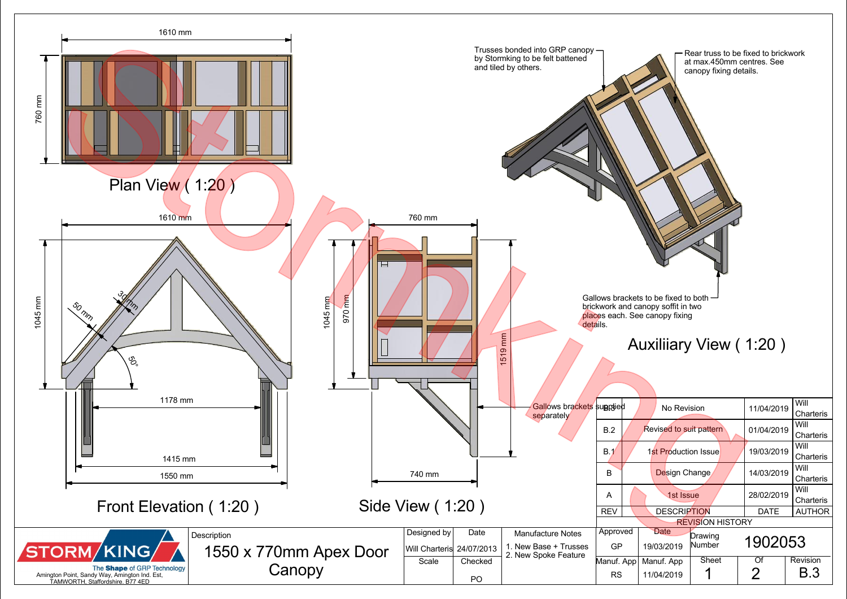